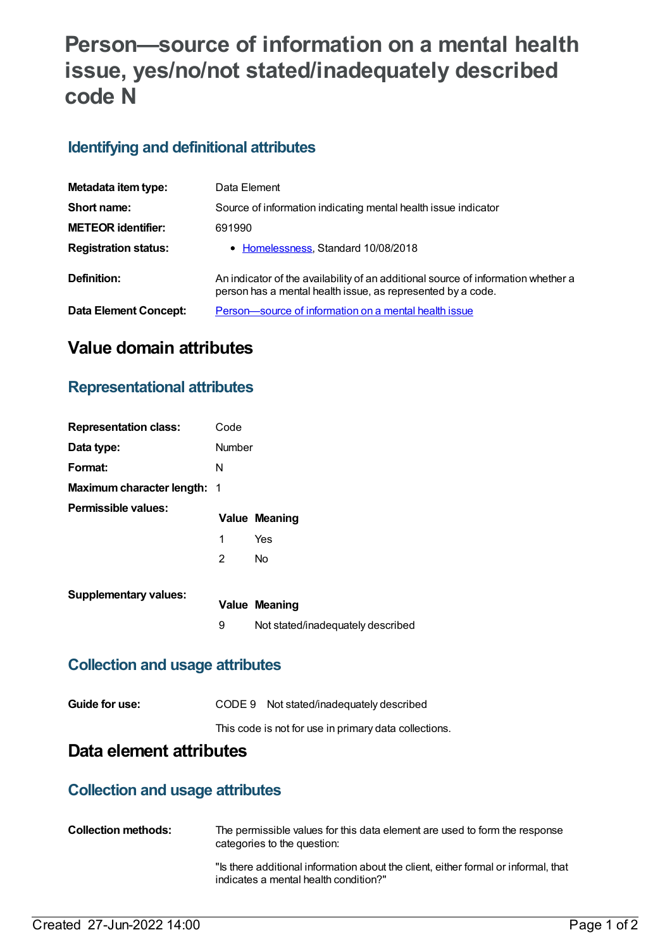# **Person—source of information on a mental health issue, yes/no/not stated/inadequately described code N**

# **Identifying and definitional attributes**

| Metadata item type:          | Data Element                                                                                                                                     |
|------------------------------|--------------------------------------------------------------------------------------------------------------------------------------------------|
| Short name:                  | Source of information indicating mental health issue indicator                                                                                   |
| <b>METEOR identifier:</b>    | 691990                                                                                                                                           |
| <b>Registration status:</b>  | • Homelessness, Standard 10/08/2018                                                                                                              |
| Definition:                  | An indicator of the availability of an additional source of information whether a<br>person has a mental health issue, as represented by a code. |
| <b>Data Element Concept:</b> | Person-source of information on a mental health issue                                                                                            |

# **Value domain attributes**

#### **Representational attributes**

| <b>Representation class:</b>       | Code           |                                   |
|------------------------------------|----------------|-----------------------------------|
| Data type:                         | Number         |                                   |
| Format:                            | N              |                                   |
| <b>Maximum character length: 1</b> |                |                                   |
| Permissible values:                |                | <b>Value Meaning</b>              |
|                                    | 1              | Yes                               |
|                                    | $\overline{2}$ | <b>No</b>                         |
| <b>Supplementary values:</b>       |                |                                   |
|                                    |                | <b>Value Meaning</b>              |
|                                    | 9              | Not stated/inadequately described |

#### **Collection and usage attributes**

| Guide for use: | CODE 9 Not stated/inadequately described              |
|----------------|-------------------------------------------------------|
|                | This code is not for use in primary data collections. |

### **Data element attributes**

#### **Collection and usage attributes**

| <b>Collection methods:</b> | The permissible values for this data element are used to form the response<br>categories to the question:                   |
|----------------------------|-----------------------------------------------------------------------------------------------------------------------------|
|                            | "Is there additional information about the client, either formal or informal, that<br>indicates a mental health condition?" |